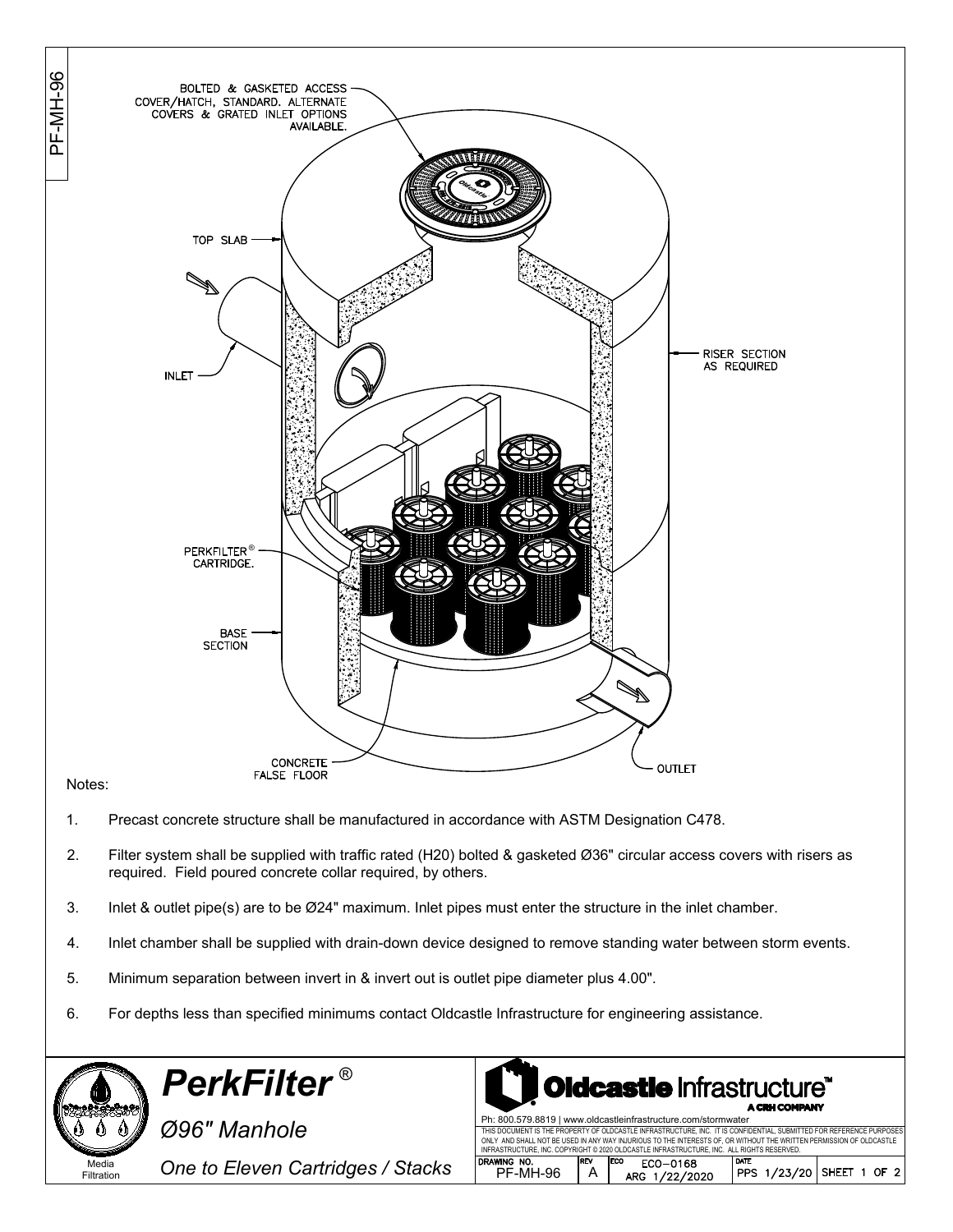

*One to Eleven Cartridges / Stacks*

Ø96" Manhole

Media Filtration